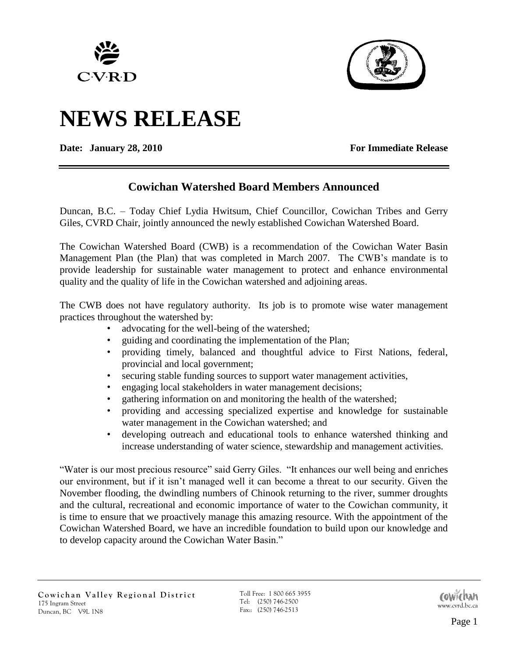



# **NEWS RELEASE**

**Date:** January 28, 2010 **For Immediate Release** 

# **Cowichan Watershed Board Members Announced**

Duncan, B.C. – Today Chief Lydia Hwitsum, Chief Councillor, Cowichan Tribes and Gerry Giles, CVRD Chair, jointly announced the newly established Cowichan Watershed Board.

The Cowichan Watershed Board (CWB) is a recommendation of the Cowichan Water Basin Management Plan (the Plan) that was completed in March 2007. The CWB's mandate is to provide leadership for sustainable water management to protect and enhance environmental quality and the quality of life in the Cowichan watershed and adjoining areas.

The CWB does not have regulatory authority. Its job is to promote wise water management practices throughout the watershed by:

- advocating for the well-being of the watershed;
- guiding and coordinating the implementation of the Plan;
- providing timely, balanced and thoughtful advice to First Nations, federal, provincial and local government;
- securing stable funding sources to support water management activities,
- engaging local stakeholders in water management decisions;
- gathering information on and monitoring the health of the watershed;
- providing and accessing specialized expertise and knowledge for sustainable water management in the Cowichan watershed; and
- developing outreach and educational tools to enhance watershed thinking and increase understanding of water science, stewardship and management activities.

"Water is our most precious resource" said Gerry Giles. "It enhances our well being and enriches our environment, but if it isn't managed well it can become a threat to our security. Given the November flooding, the dwindling numbers of Chinook returning to the river, summer droughts and the cultural, recreational and economic importance of water to the Cowichan community, it is time to ensure that we proactively manage this amazing resource. With the appointment of the Cowichan Watershed Board, we have an incredible foundation to build upon our knowledge and to develop capacity around the Cowichan Water Basin."

Toll Free: 1 800 665 3955 Tel: (250) 746-2500 Fax:: (250) 746-2500<br>Fax:: (250) 746-2513

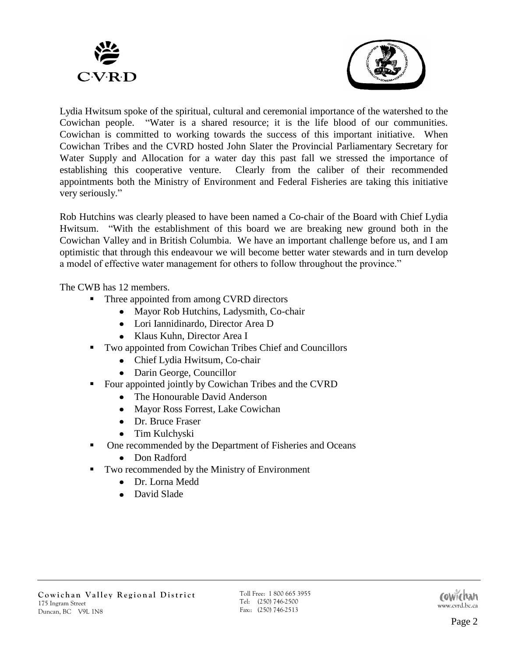



Lydia Hwitsum spoke of the spiritual, cultural and ceremonial importance of the watershed to the Cowichan people. "Water is a shared resource; it is the life blood of our communities. Cowichan is committed to working towards the success of this important initiative. When Cowichan Tribes and the CVRD hosted John Slater the Provincial Parliamentary Secretary for Water Supply and Allocation for a water day this past fall we stressed the importance of establishing this cooperative venture. Clearly from the caliber of their recommended appointments both the Ministry of Environment and Federal Fisheries are taking this initiative very seriously."

Rob Hutchins was clearly pleased to have been named a Co-chair of the Board with Chief Lydia Hwitsum. "With the establishment of this board we are breaking new ground both in the Cowichan Valley and in British Columbia. We have an important challenge before us, and I am optimistic that through this endeavour we will become better water stewards and in turn develop a model of effective water management for others to follow throughout the province."

The CWB has 12 members.

- Three appointed from among CVRD directors
	- Mayor Rob Hutchins, Ladysmith, Co-chair
	- Lori Iannidinardo, Director Area D
	- Klaus Kuhn, Director Area I
- Two appointed from Cowichan Tribes Chief and Councillors
	- Chief Lydia Hwitsum, Co-chair
	- Darin George, Councillor
- Four appointed jointly by Cowichan Tribes and the CVRD
	- The Honourable David Anderson
	- Mayor Ross Forrest, Lake Cowichan
	- Dr. Bruce Fraser
	- Tim Kulchyski
- One recommended by the Department of Fisheries and Oceans
	- Don Radford
- Two recommended by the Ministry of Environment
	- Dr. Lorna Medd
	- David Slade

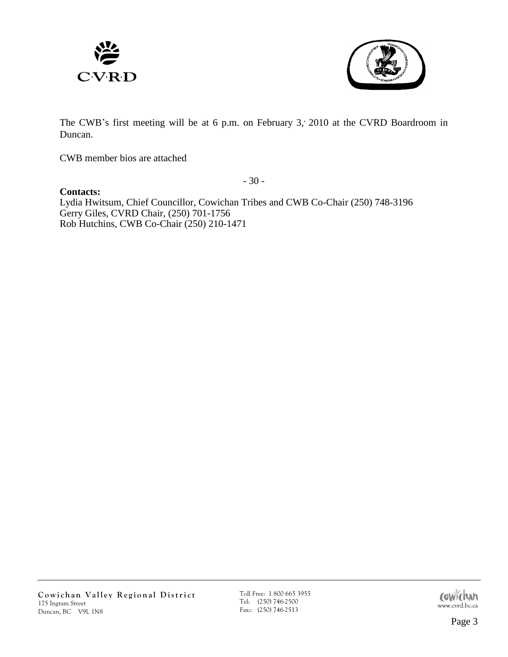



The CWB's first meeting will be at 6 p.m. on February 3, 2010 at the CVRD Boardroom in Duncan.

CWB member bios are attached

- 30 -

**Contacts:**  Lydia Hwitsum, Chief Councillor, Cowichan Tribes and CWB Co-Chair (250) 748-3196 Gerry Giles, CVRD Chair, (250) 701-1756 Rob Hutchins, CWB Co-Chair (250) 210-1471

Toll Free: 1 800 665 3955 Tel: (250) 746-2500 Toll Free: 1 800 665 3955<br>
Tel: (250) 746-2500<br>
Fax:: (250) 746-2513<br>
www.cvrd.bc.ca

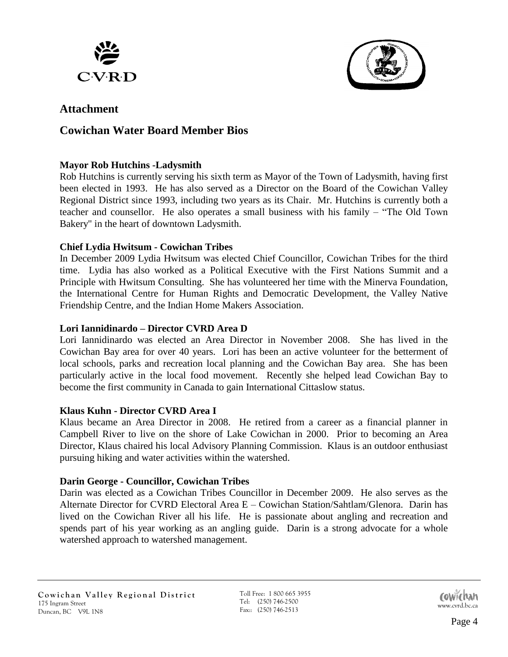



# **Attachment**

# **Cowichan Water Board Member Bios**

#### **Mayor Rob Hutchins -Ladysmith**

Rob Hutchins is currently serving his sixth term as Mayor of the Town of Ladysmith, having first been elected in 1993. He has also served as a Director on the Board of the Cowichan Valley Regional District since 1993, including two years as its Chair. Mr. Hutchins is currently both a teacher and counsellor. He also operates a small business with his family – "The Old Town Bakery" in the heart of downtown Ladysmith.

#### **Chief Lydia Hwitsum - Cowichan Tribes**

In December 2009 Lydia Hwitsum was elected Chief Councillor, Cowichan Tribes for the third time. Lydia has also worked as a Political Executive with the First Nations Summit and a Principle with Hwitsum Consulting. She has volunteered her time with the Minerva Foundation, the International Centre for Human Rights and Democratic Development, the Valley Native Friendship Centre, and the Indian Home Makers Association.

#### **Lori Iannidinardo – Director CVRD Area D**

Lori Iannidinardo was elected an Area Director in November 2008. She has lived in the Cowichan Bay area for over 40 years. Lori has been an active volunteer for the betterment of local schools, parks and recreation local planning and the Cowichan Bay area. She has been particularly active in the local food movement. Recently she helped lead Cowichan Bay to become the first community in Canada to gain International Cittaslow status.

#### **Klaus Kuhn - Director CVRD Area I**

Klaus became an Area Director in 2008. He retired from a career as a financial planner in Campbell River to live on the shore of Lake Cowichan in 2000. Prior to becoming an Area Director, Klaus chaired his local Advisory Planning Commission. Klaus is an outdoor enthusiast pursuing hiking and water activities within the watershed.

#### **Darin George - Councillor, Cowichan Tribes**

Darin was elected as a Cowichan Tribes Councillor in December 2009. He also serves as the Alternate Director for CVRD Electoral Area E – Cowichan Station/Sahtlam/Glenora. Darin has lived on the Cowichan River all his life. He is passionate about angling and recreation and spends part of his year working as an angling guide. Darin is a strong advocate for a whole watershed approach to watershed management.

Toll Free: 1 800 665 3955 Tel: (250) 746-2500 Fax:: (250) 746-2500<br>Fax:: (250) 746-2513

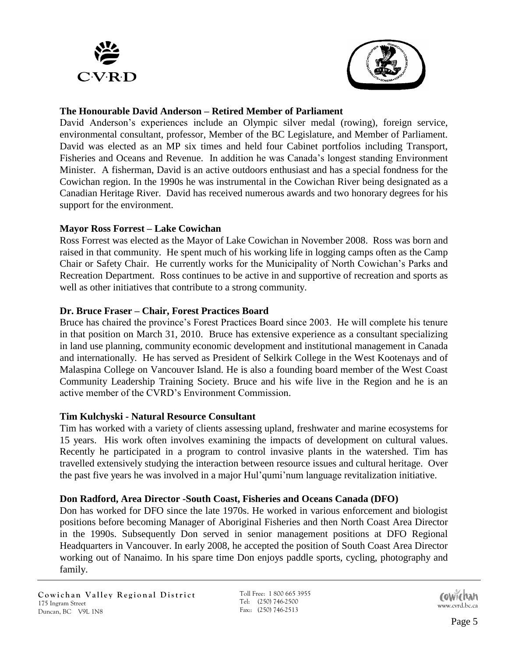



#### **The Honourable David Anderson – Retired Member of Parliament**

David Anderson's experiences include an Olympic silver medal (rowing), foreign service, environmental consultant, professor, Member of the BC Legislature, and Member of Parliament. David was elected as an MP six times and held four Cabinet portfolios including Transport, Fisheries and Oceans and Revenue. In addition he was Canada's longest standing Environment Minister. A fisherman, David is an active outdoors enthusiast and has a special fondness for the Cowichan region. In the 1990s he was instrumental in the Cowichan River being designated as a Canadian Heritage River. David has received numerous awards and two honorary degrees for his support for the environment.

## **Mayor Ross Forrest – Lake Cowichan**

Ross Forrest was elected as the Mayor of Lake Cowichan in November 2008. Ross was born and raised in that community. He spent much of his working life in logging camps often as the Camp Chair or Safety Chair. He currently works for the Municipality of North Cowichan's Parks and Recreation Department. Ross continues to be active in and supportive of recreation and sports as well as other initiatives that contribute to a strong community.

## **Dr. Bruce Fraser – Chair, Forest Practices Board**

Bruce has chaired the province's Forest Practices Board since 2003. He will complete his tenure in that position on March 31, 2010. Bruce has extensive experience as a consultant specializing in land use planning, community economic development and institutional management in Canada and internationally. He has served as President of Selkirk College in the West Kootenays and of Malaspina College on Vancouver Island. He is also a founding board member of the West Coast Community Leadership Training Society. Bruce and his wife live in the Region and he is an active member of the CVRD's Environment Commission.

#### **Tim Kulchyski - Natural Resource Consultant**

Tim has worked with a variety of clients assessing upland, freshwater and marine ecosystems for 15 years. His work often involves examining the impacts of development on cultural values. Recently he participated in a program to control invasive plants in the watershed. Tim has travelled extensively studying the interaction between resource issues and cultural heritage. Over the past five years he was involved in a major Hul'qumi'num language revitalization initiative.

#### **Don Radford, Area Director -South Coast, Fisheries and Oceans Canada (DFO)**

Don has worked for DFO since the late 1970s. He worked in various enforcement and biologist positions before becoming Manager of Aboriginal Fisheries and then North Coast Area Director in the 1990s. Subsequently Don served in senior management positions at DFO Regional Headquarters in Vancouver. In early 2008, he accepted the position of South Coast Area Director working out of Nanaimo. In his spare time Don enjoys paddle sports, cycling, photography and family.

Toll Free: 1 800 665 3955 Tel: (250) 746-2500 Fax:: (250) 746-2513<br>Fax:: (250) 746-2513